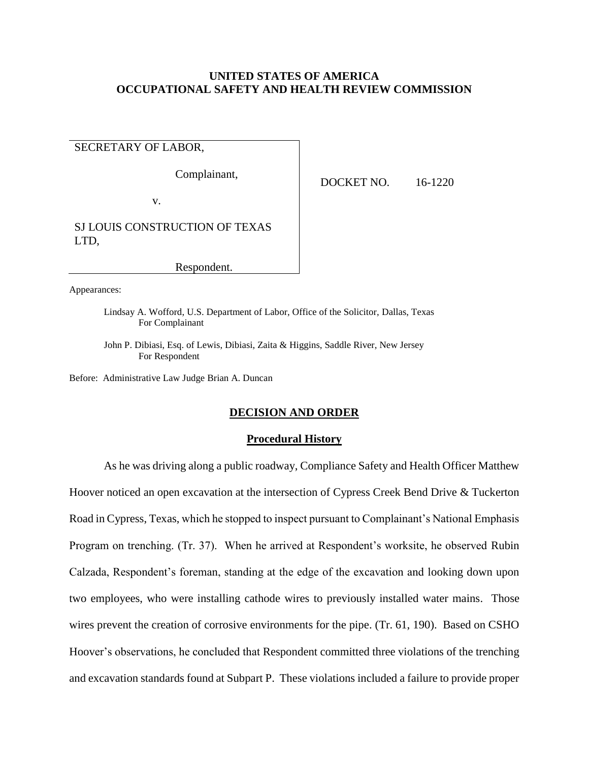## **UNITED STATES OF AMERICA OCCUPATIONAL SAFETY AND HEALTH REVIEW COMMISSION**

# SECRETARY OF LABOR,

Complainant,

DOCKET NO. 16-1220

v.

SJ LOUIS CONSTRUCTION OF TEXAS LTD,

Respondent.

Appearances:

Lindsay A. Wofford, U.S. Department of Labor, Office of the Solicitor, Dallas, Texas For Complainant

John P. Dibiasi, Esq. of Lewis, Dibiasi, Zaita & Higgins, Saddle River, New Jersey For Respondent

Before: Administrative Law Judge Brian A. Duncan

## **DECISION AND ORDER**

## **Procedural History**

As he was driving along a public roadway, Compliance Safety and Health Officer Matthew Hoover noticed an open excavation at the intersection of Cypress Creek Bend Drive & Tuckerton Road in Cypress, Texas, which he stopped to inspect pursuant to Complainant's National Emphasis Program on trenching. (Tr. 37). When he arrived at Respondent's worksite, he observed Rubin Calzada, Respondent's foreman, standing at the edge of the excavation and looking down upon two employees, who were installing cathode wires to previously installed water mains. Those wires prevent the creation of corrosive environments for the pipe. (Tr. 61, 190). Based on CSHO Hoover's observations, he concluded that Respondent committed three violations of the trenching and excavation standards found at Subpart P. These violations included a failure to provide proper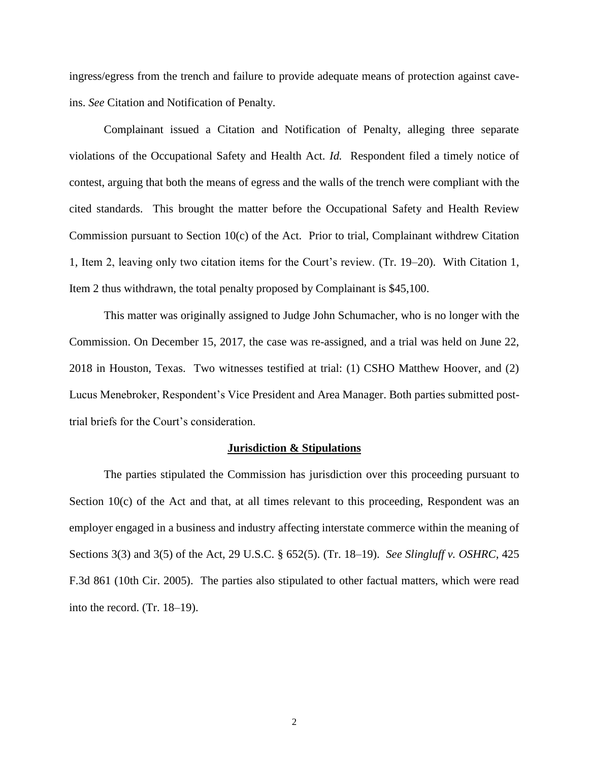ingress/egress from the trench and failure to provide adequate means of protection against caveins. *See* Citation and Notification of Penalty.

Complainant issued a Citation and Notification of Penalty, alleging three separate violations of the Occupational Safety and Health Act. *Id.* Respondent filed a timely notice of contest, arguing that both the means of egress and the walls of the trench were compliant with the cited standards. This brought the matter before the Occupational Safety and Health Review Commission pursuant to Section 10(c) of the Act. Prior to trial, Complainant withdrew Citation 1, Item 2, leaving only two citation items for the Court's review. (Tr. 19–20). With Citation 1, Item 2 thus withdrawn, the total penalty proposed by Complainant is \$45,100.

This matter was originally assigned to Judge John Schumacher, who is no longer with the Commission. On December 15, 2017, the case was re-assigned, and a trial was held on June 22, 2018 in Houston, Texas. Two witnesses testified at trial: (1) CSHO Matthew Hoover, and (2) Lucus Menebroker, Respondent's Vice President and Area Manager. Both parties submitted posttrial briefs for the Court's consideration.

### **Jurisdiction & Stipulations**

The parties stipulated the Commission has jurisdiction over this proceeding pursuant to Section 10(c) of the Act and that, at all times relevant to this proceeding, Respondent was an employer engaged in a business and industry affecting interstate commerce within the meaning of Sections 3(3) and 3(5) of the Act, 29 U.S.C. § 652(5). (Tr. 18–19). *See Slingluff v. OSHRC*, 425 F.3d 861 (10th Cir. 2005). The parties also stipulated to other factual matters, which were read into the record. (Tr. 18–19).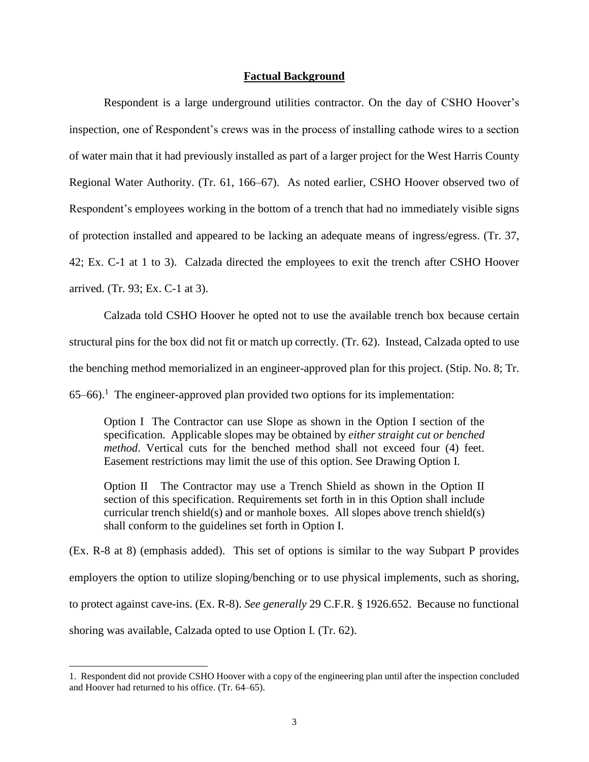## **Factual Background**

Respondent is a large underground utilities contractor. On the day of CSHO Hoover's inspection, one of Respondent's crews was in the process of installing cathode wires to a section of water main that it had previously installed as part of a larger project for the West Harris County Regional Water Authority. (Tr. 61, 166–67). As noted earlier, CSHO Hoover observed two of Respondent's employees working in the bottom of a trench that had no immediately visible signs of protection installed and appeared to be lacking an adequate means of ingress/egress. (Tr. 37, 42; Ex. C-1 at 1 to 3). Calzada directed the employees to exit the trench after CSHO Hoover arrived. (Tr. 93; Ex. C-1 at 3).

Calzada told CSHO Hoover he opted not to use the available trench box because certain structural pins for the box did not fit or match up correctly. (Tr. 62). Instead, Calzada opted to use the benching method memorialized in an engineer-approved plan for this project. (Stip. No. 8; Tr.  $65-66$ ).<sup>1</sup> The engineer-approved plan provided two options for its implementation:

Option I The Contractor can use Slope as shown in the Option I section of the specification. Applicable slopes may be obtained by *either straight cut or benched method*. Vertical cuts for the benched method shall not exceed four (4) feet. Easement restrictions may limit the use of this option. See Drawing Option I.

Option II The Contractor may use a Trench Shield as shown in the Option II section of this specification. Requirements set forth in in this Option shall include curricular trench shield(s) and or manhole boxes. All slopes above trench shield(s) shall conform to the guidelines set forth in Option I.

(Ex. R-8 at 8) (emphasis added). This set of options is similar to the way Subpart P provides employers the option to utilize sloping/benching or to use physical implements, such as shoring, to protect against cave-ins. (Ex. R-8). *See generally* 29 C.F.R. § 1926.652. Because no functional shoring was available, Calzada opted to use Option I. (Tr. 62).

 $\overline{a}$ 

<sup>1.</sup> Respondent did not provide CSHO Hoover with a copy of the engineering plan until after the inspection concluded and Hoover had returned to his office. (Tr. 64–65).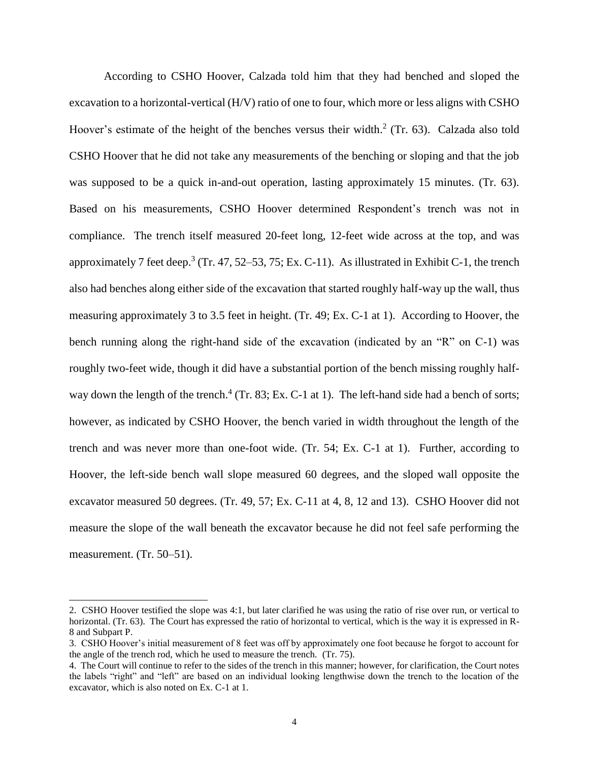According to CSHO Hoover, Calzada told him that they had benched and sloped the excavation to a horizontal-vertical (H/V) ratio of one to four, which more or less aligns with CSHO Hoover's estimate of the height of the benches versus their width. $2$  (Tr. 63). Calzada also told CSHO Hoover that he did not take any measurements of the benching or sloping and that the job was supposed to be a quick in-and-out operation, lasting approximately 15 minutes. (Tr. 63). Based on his measurements, CSHO Hoover determined Respondent's trench was not in compliance. The trench itself measured 20-feet long, 12-feet wide across at the top, and was approximately 7 feet deep.<sup>3</sup> (Tr. 47, 52–53, 75; Ex. C-11). As illustrated in Exhibit C-1, the trench also had benches along either side of the excavation that started roughly half-way up the wall, thus measuring approximately 3 to 3.5 feet in height. (Tr. 49; Ex. C-1 at 1). According to Hoover, the bench running along the right-hand side of the excavation (indicated by an "R" on C-1) was roughly two-feet wide, though it did have a substantial portion of the bench missing roughly halfway down the length of the trench.<sup>4</sup> (Tr. 83; Ex. C-1 at 1). The left-hand side had a bench of sorts; however, as indicated by CSHO Hoover, the bench varied in width throughout the length of the trench and was never more than one-foot wide. (Tr. 54; Ex. C-1 at 1). Further, according to Hoover, the left-side bench wall slope measured 60 degrees, and the sloped wall opposite the excavator measured 50 degrees. (Tr. 49, 57; Ex. C-11 at 4, 8, 12 and 13). CSHO Hoover did not measure the slope of the wall beneath the excavator because he did not feel safe performing the measurement. (Tr. 50–51).

 $\overline{a}$ 

<sup>2.</sup> CSHO Hoover testified the slope was 4:1, but later clarified he was using the ratio of rise over run, or vertical to horizontal. (Tr. 63). The Court has expressed the ratio of horizontal to vertical, which is the way it is expressed in R-8 and Subpart P.

<sup>3.</sup> CSHO Hoover's initial measurement of 8 feet was off by approximately one foot because he forgot to account for the angle of the trench rod, which he used to measure the trench. (Tr. 75).

<sup>4.</sup> The Court will continue to refer to the sides of the trench in this manner; however, for clarification, the Court notes the labels "right" and "left" are based on an individual looking lengthwise down the trench to the location of the excavator, which is also noted on Ex. C-1 at 1.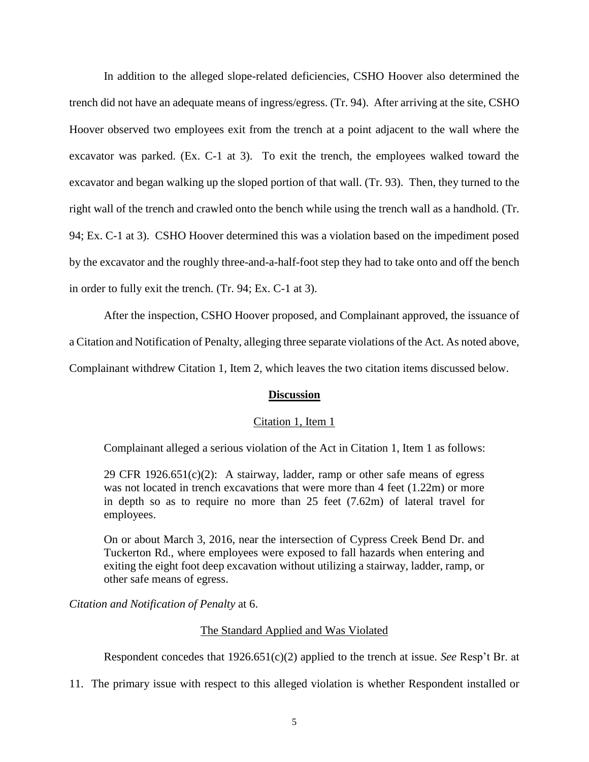In addition to the alleged slope-related deficiencies, CSHO Hoover also determined the trench did not have an adequate means of ingress/egress. (Tr. 94). After arriving at the site, CSHO Hoover observed two employees exit from the trench at a point adjacent to the wall where the excavator was parked. (Ex. C-1 at 3). To exit the trench, the employees walked toward the excavator and began walking up the sloped portion of that wall. (Tr. 93). Then, they turned to the right wall of the trench and crawled onto the bench while using the trench wall as a handhold. (Tr. 94; Ex. C-1 at 3). CSHO Hoover determined this was a violation based on the impediment posed by the excavator and the roughly three-and-a-half-foot step they had to take onto and off the bench in order to fully exit the trench. (Tr. 94; Ex. C-1 at 3).

After the inspection, CSHO Hoover proposed, and Complainant approved, the issuance of a Citation and Notification of Penalty, alleging three separate violations of the Act. As noted above,

Complainant withdrew Citation 1, Item 2, which leaves the two citation items discussed below.

## **Discussion**

# Citation 1, Item 1

Complainant alleged a serious violation of the Act in Citation 1, Item 1 as follows:

29 CFR 1926.651 $(c)(2)$ : A stairway, ladder, ramp or other safe means of egress was not located in trench excavations that were more than 4 feet (1.22m) or more in depth so as to require no more than 25 feet (7.62m) of lateral travel for employees.

On or about March 3, 2016, near the intersection of Cypress Creek Bend Dr. and Tuckerton Rd., where employees were exposed to fall hazards when entering and exiting the eight foot deep excavation without utilizing a stairway, ladder, ramp, or other safe means of egress.

*Citation and Notification of Penalty* at 6.

# The Standard Applied and Was Violated

Respondent concedes that 1926.651(c)(2) applied to the trench at issue. *See* Resp't Br. at

11. The primary issue with respect to this alleged violation is whether Respondent installed or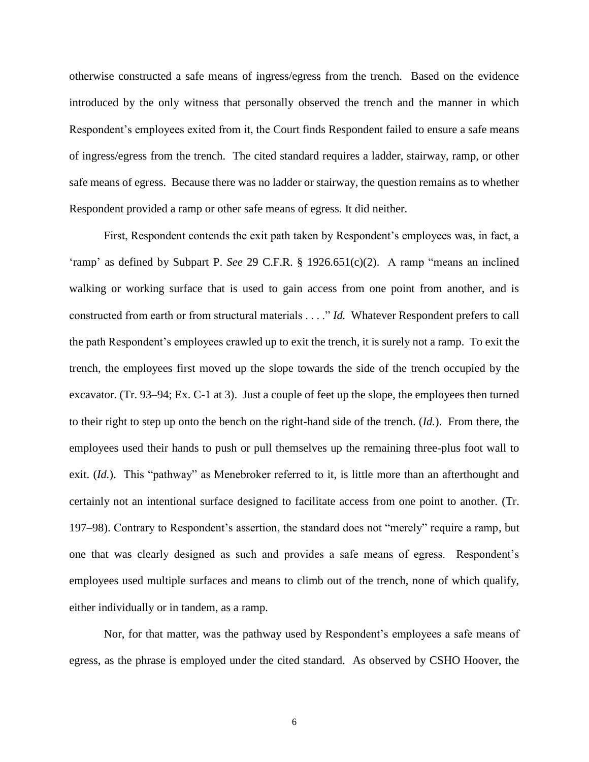otherwise constructed a safe means of ingress/egress from the trench. Based on the evidence introduced by the only witness that personally observed the trench and the manner in which Respondent's employees exited from it, the Court finds Respondent failed to ensure a safe means of ingress/egress from the trench. The cited standard requires a ladder, stairway, ramp, or other safe means of egress. Because there was no ladder or stairway, the question remains as to whether Respondent provided a ramp or other safe means of egress. It did neither.

First, Respondent contends the exit path taken by Respondent's employees was, in fact, a 'ramp' as defined by Subpart P. *See* 29 C.F.R. § 1926.651(c)(2). A ramp "means an inclined walking or working surface that is used to gain access from one point from another, and is constructed from earth or from structural materials . . . ." *Id.* Whatever Respondent prefers to call the path Respondent's employees crawled up to exit the trench, it is surely not a ramp. To exit the trench, the employees first moved up the slope towards the side of the trench occupied by the excavator. (Tr. 93–94; Ex. C-1 at 3). Just a couple of feet up the slope, the employees then turned to their right to step up onto the bench on the right-hand side of the trench. (*Id.*). From there, the employees used their hands to push or pull themselves up the remaining three-plus foot wall to exit. (*Id.*). This "pathway" as Menebroker referred to it, is little more than an afterthought and certainly not an intentional surface designed to facilitate access from one point to another. (Tr. 197–98). Contrary to Respondent's assertion, the standard does not "merely" require a ramp, but one that was clearly designed as such and provides a safe means of egress. Respondent's employees used multiple surfaces and means to climb out of the trench, none of which qualify, either individually or in tandem, as a ramp.

Nor, for that matter, was the pathway used by Respondent's employees a safe means of egress, as the phrase is employed under the cited standard. As observed by CSHO Hoover, the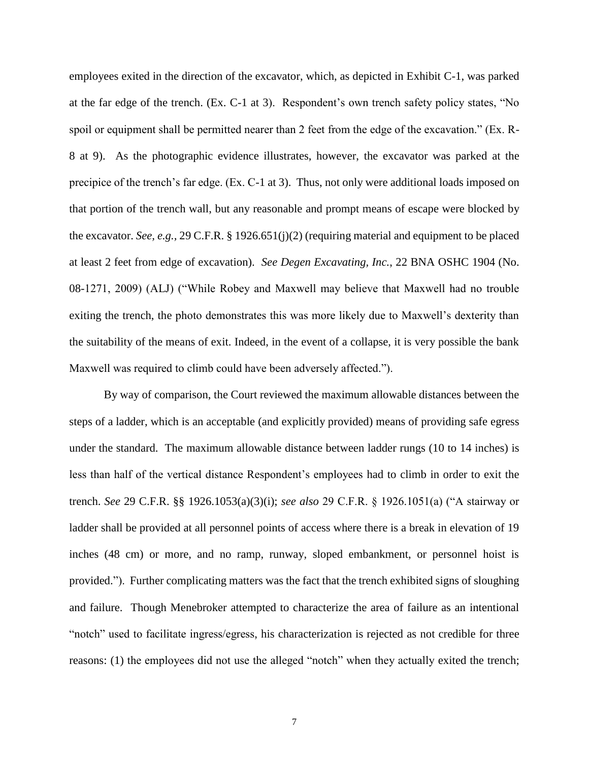employees exited in the direction of the excavator, which, as depicted in Exhibit C-1, was parked at the far edge of the trench. (Ex. C-1 at 3). Respondent's own trench safety policy states, "No spoil or equipment shall be permitted nearer than 2 feet from the edge of the excavation." (Ex. R-8 at 9). As the photographic evidence illustrates, however, the excavator was parked at the precipice of the trench's far edge. (Ex. C-1 at 3). Thus, not only were additional loads imposed on that portion of the trench wall, but any reasonable and prompt means of escape were blocked by the excavator. *See, e.g.,* 29 C.F.R. § 1926.651(j)(2) (requiring material and equipment to be placed at least 2 feet from edge of excavation). *See Degen Excavating, Inc.*, 22 BNA OSHC 1904 (No. 08-1271, 2009) (ALJ) ("While Robey and Maxwell may believe that Maxwell had no trouble exiting the trench, the photo demonstrates this was more likely due to Maxwell's dexterity than the suitability of the means of exit. Indeed, in the event of a collapse, it is very possible the bank Maxwell was required to climb could have been adversely affected.").

By way of comparison, the Court reviewed the maximum allowable distances between the steps of a ladder, which is an acceptable (and explicitly provided) means of providing safe egress under the standard. The maximum allowable distance between ladder rungs (10 to 14 inches) is less than half of the vertical distance Respondent's employees had to climb in order to exit the trench. *See* 29 C.F.R. §§ 1926.1053(a)(3)(i); *see also* 29 C.F.R. § 1926.1051(a) ("A stairway or ladder shall be provided at all personnel points of access where there is a break in elevation of 19 inches (48 cm) or more, and no ramp, runway, sloped embankment, or personnel hoist is provided."). Further complicating matters was the fact that the trench exhibited signs of sloughing and failure. Though Menebroker attempted to characterize the area of failure as an intentional "notch" used to facilitate ingress/egress, his characterization is rejected as not credible for three reasons: (1) the employees did not use the alleged "notch" when they actually exited the trench;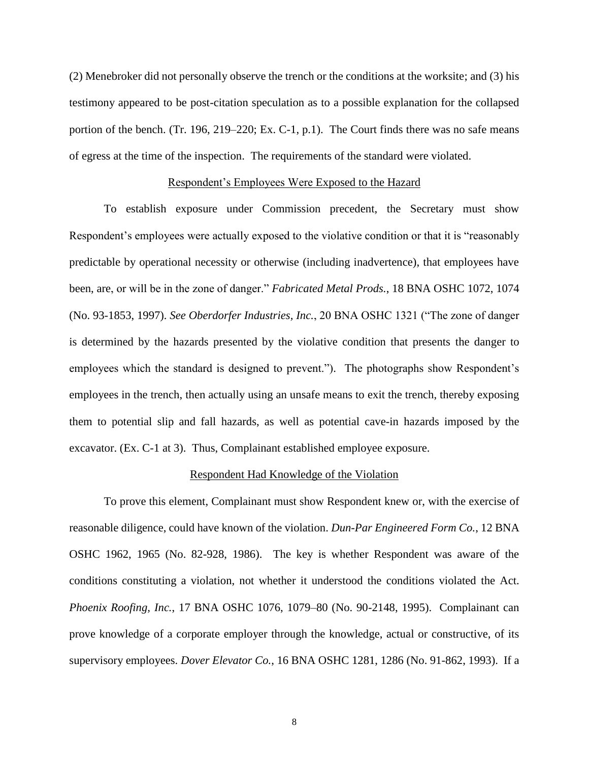(2) Menebroker did not personally observe the trench or the conditions at the worksite; and (3) his testimony appeared to be post-citation speculation as to a possible explanation for the collapsed portion of the bench. (Tr. 196, 219–220; Ex. C-1, p.1). The Court finds there was no safe means of egress at the time of the inspection. The requirements of the standard were violated.

### Respondent's Employees Were Exposed to the Hazard

To establish exposure under Commission precedent, the Secretary must show Respondent's employees were actually exposed to the violative condition or that it is "reasonably predictable by operational necessity or otherwise (including inadvertence), that employees have been, are, or will be in the zone of danger." *Fabricated Metal Prods.*, 18 BNA OSHC 1072, 1074 (No. 93-1853, 1997). *See Oberdorfer Industries, Inc.*, 20 BNA OSHC 1321 ("The zone of danger is determined by the hazards presented by the violative condition that presents the danger to employees which the standard is designed to prevent."). The photographs show Respondent's employees in the trench, then actually using an unsafe means to exit the trench, thereby exposing them to potential slip and fall hazards, as well as potential cave-in hazards imposed by the excavator. (Ex. C-1 at 3). Thus, Complainant established employee exposure.

#### Respondent Had Knowledge of the Violation

To prove this element, Complainant must show Respondent knew or, with the exercise of reasonable diligence, could have known of the violation. *Dun-Par Engineered Form Co.*, 12 BNA OSHC 1962, 1965 (No. 82-928, 1986). The key is whether Respondent was aware of the conditions constituting a violation, not whether it understood the conditions violated the Act. *Phoenix Roofing, Inc.*, 17 BNA OSHC 1076, 1079–80 (No. 90-2148, 1995). Complainant can prove knowledge of a corporate employer through the knowledge, actual or constructive, of its supervisory employees. *Dover Elevator Co.*, 16 BNA OSHC 1281, 1286 (No. 91-862, 1993). If a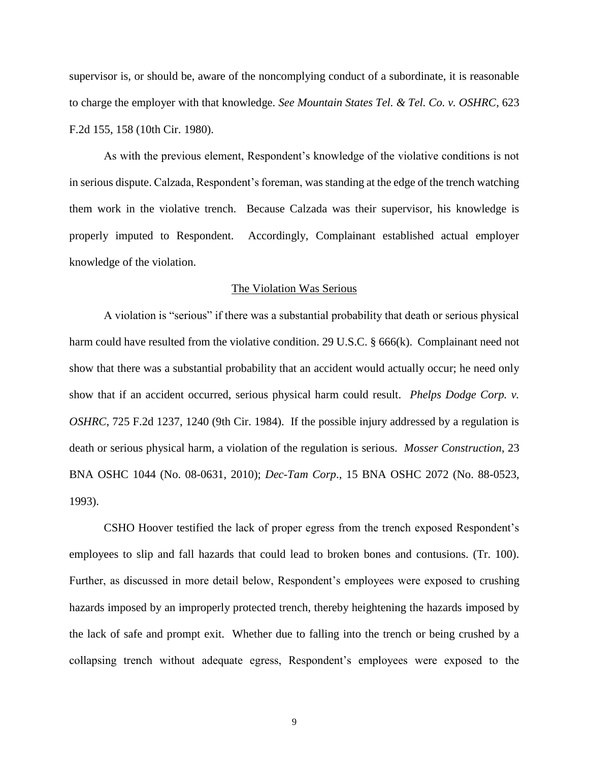supervisor is, or should be, aware of the noncomplying conduct of a subordinate, it is reasonable to charge the employer with that knowledge. *See Mountain States Tel. & Tel. Co. v. OSHRC*, 623 F.2d 155, 158 (10th Cir. 1980).

As with the previous element, Respondent's knowledge of the violative conditions is not in serious dispute. Calzada, Respondent's foreman, was standing at the edge of the trench watching them work in the violative trench. Because Calzada was their supervisor, his knowledge is properly imputed to Respondent. Accordingly, Complainant established actual employer knowledge of the violation.

#### The Violation Was Serious

A violation is "serious" if there was a substantial probability that death or serious physical harm could have resulted from the violative condition. 29 U.S.C. § 666(k). Complainant need not show that there was a substantial probability that an accident would actually occur; he need only show that if an accident occurred, serious physical harm could result. *Phelps Dodge Corp. v. OSHRC*, 725 F.2d 1237, 1240 (9th Cir. 1984). If the possible injury addressed by a regulation is death or serious physical harm, a violation of the regulation is serious. *Mosser Construction*, 23 BNA OSHC 1044 (No. 08-0631, 2010); *Dec-Tam Corp*., 15 BNA OSHC 2072 (No. 88-0523, 1993).

CSHO Hoover testified the lack of proper egress from the trench exposed Respondent's employees to slip and fall hazards that could lead to broken bones and contusions. (Tr. 100). Further, as discussed in more detail below, Respondent's employees were exposed to crushing hazards imposed by an improperly protected trench, thereby heightening the hazards imposed by the lack of safe and prompt exit. Whether due to falling into the trench or being crushed by a collapsing trench without adequate egress, Respondent's employees were exposed to the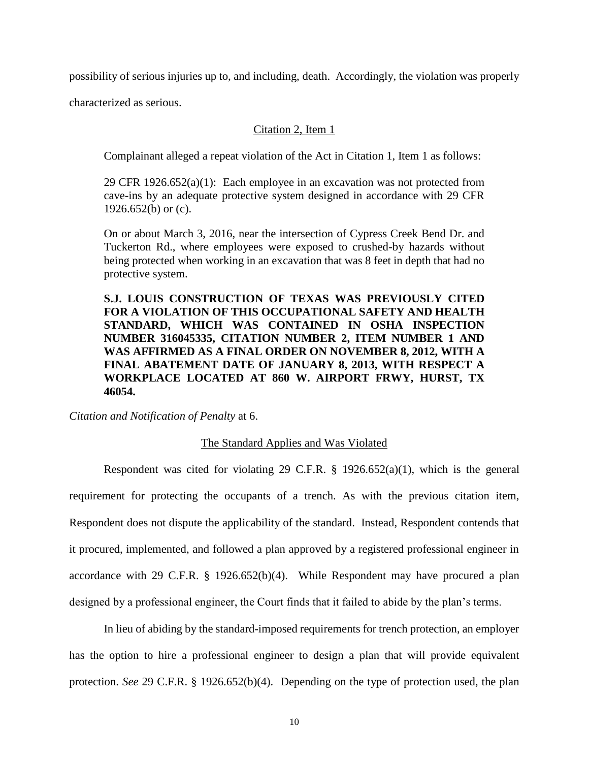possibility of serious injuries up to, and including, death. Accordingly, the violation was properly

characterized as serious.

# Citation 2, Item 1

Complainant alleged a repeat violation of the Act in Citation 1, Item 1 as follows:

29 CFR 1926.652(a)(1): Each employee in an excavation was not protected from cave-ins by an adequate protective system designed in accordance with 29 CFR 1926.652(b) or  $(c)$ .

On or about March 3, 2016, near the intersection of Cypress Creek Bend Dr. and Tuckerton Rd., where employees were exposed to crushed-by hazards without being protected when working in an excavation that was 8 feet in depth that had no protective system.

**S.J. LOUIS CONSTRUCTION OF TEXAS WAS PREVIOUSLY CITED FOR A VIOLATION OF THIS OCCUPATIONAL SAFETY AND HEALTH STANDARD, WHICH WAS CONTAINED IN OSHA INSPECTION NUMBER 316045335, CITATION NUMBER 2, ITEM NUMBER 1 AND WAS AFFIRMED AS A FINAL ORDER ON NOVEMBER 8, 2012, WITH A FINAL ABATEMENT DATE OF JANUARY 8, 2013, WITH RESPECT A WORKPLACE LOCATED AT 860 W. AIRPORT FRWY, HURST, TX 46054.**

*Citation and Notification of Penalty* at 6.

## The Standard Applies and Was Violated

Respondent was cited for violating 29 C.F.R. § 1926.652(a)(1), which is the general requirement for protecting the occupants of a trench. As with the previous citation item, Respondent does not dispute the applicability of the standard. Instead, Respondent contends that it procured, implemented, and followed a plan approved by a registered professional engineer in accordance with 29 C.F.R. § 1926.652(b)(4). While Respondent may have procured a plan designed by a professional engineer, the Court finds that it failed to abide by the plan's terms.

In lieu of abiding by the standard-imposed requirements for trench protection, an employer has the option to hire a professional engineer to design a plan that will provide equivalent protection. *See* 29 C.F.R. § 1926.652(b)(4). Depending on the type of protection used, the plan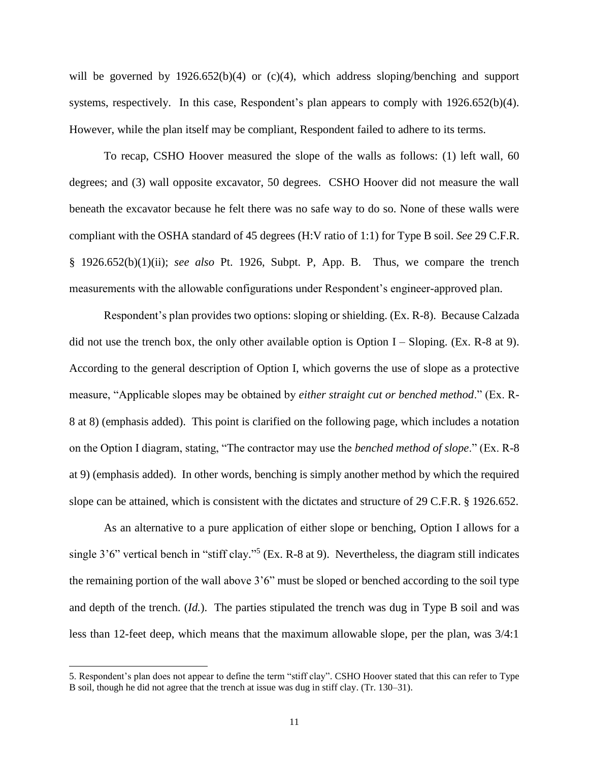will be governed by 1926.652(b)(4) or (c)(4), which address sloping/benching and support systems, respectively. In this case, Respondent's plan appears to comply with 1926.652(b)(4). However, while the plan itself may be compliant, Respondent failed to adhere to its terms.

To recap, CSHO Hoover measured the slope of the walls as follows: (1) left wall, 60 degrees; and (3) wall opposite excavator, 50 degrees. CSHO Hoover did not measure the wall beneath the excavator because he felt there was no safe way to do so. None of these walls were compliant with the OSHA standard of 45 degrees (H:V ratio of 1:1) for Type B soil. *See* 29 C.F.R. § 1926.652(b)(1)(ii); *see also* Pt. 1926, Subpt. P, App. B. Thus, we compare the trench measurements with the allowable configurations under Respondent's engineer-approved plan.

Respondent's plan provides two options: sloping or shielding. (Ex. R-8). Because Calzada did not use the trench box, the only other available option is Option I – Sloping. (Ex. R-8 at 9). According to the general description of Option I, which governs the use of slope as a protective measure, "Applicable slopes may be obtained by *either straight cut or benched method*." (Ex. R-8 at 8) (emphasis added). This point is clarified on the following page, which includes a notation on the Option I diagram, stating, "The contractor may use the *benched method of slope*." (Ex. R-8 at 9) (emphasis added). In other words, benching is simply another method by which the required slope can be attained, which is consistent with the dictates and structure of 29 C.F.R. § 1926.652.

As an alternative to a pure application of either slope or benching, Option I allows for a single 3'6" vertical bench in "stiff clay."<sup>5</sup> (Ex. R-8 at 9). Nevertheless, the diagram still indicates the remaining portion of the wall above 3'6" must be sloped or benched according to the soil type and depth of the trench. (*Id.*). The parties stipulated the trench was dug in Type B soil and was less than 12-feet deep, which means that the maximum allowable slope, per the plan, was 3/4:1

 $\overline{a}$ 

<sup>5.</sup> Respondent's plan does not appear to define the term "stiff clay". CSHO Hoover stated that this can refer to Type B soil, though he did not agree that the trench at issue was dug in stiff clay. (Tr. 130–31).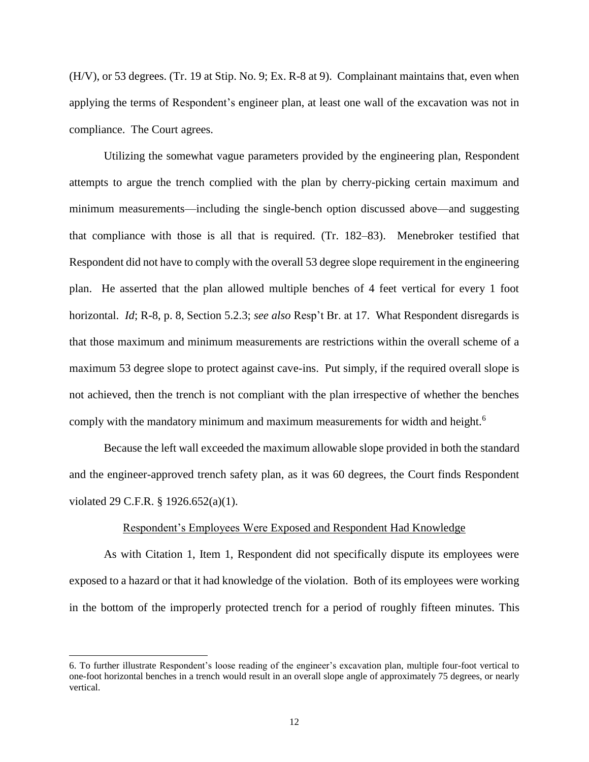(H/V), or 53 degrees. (Tr. 19 at Stip. No. 9; Ex. R-8 at 9). Complainant maintains that, even when applying the terms of Respondent's engineer plan, at least one wall of the excavation was not in compliance. The Court agrees.

Utilizing the somewhat vague parameters provided by the engineering plan, Respondent attempts to argue the trench complied with the plan by cherry-picking certain maximum and minimum measurements—including the single-bench option discussed above—and suggesting that compliance with those is all that is required. (Tr. 182–83). Menebroker testified that Respondent did not have to comply with the overall 53 degree slope requirement in the engineering plan. He asserted that the plan allowed multiple benches of 4 feet vertical for every 1 foot horizontal. *Id*; R-8, p. 8, Section 5.2.3; *see also* Resp't Br. at 17. What Respondent disregards is that those maximum and minimum measurements are restrictions within the overall scheme of a maximum 53 degree slope to protect against cave-ins. Put simply, if the required overall slope is not achieved, then the trench is not compliant with the plan irrespective of whether the benches comply with the mandatory minimum and maximum measurements for width and height.<sup>6</sup>

Because the left wall exceeded the maximum allowable slope provided in both the standard and the engineer-approved trench safety plan, as it was 60 degrees, the Court finds Respondent violated 29 C.F.R. § 1926.652(a)(1).

# Respondent's Employees Were Exposed and Respondent Had Knowledge

As with Citation 1, Item 1, Respondent did not specifically dispute its employees were exposed to a hazard or that it had knowledge of the violation. Both of its employees were working in the bottom of the improperly protected trench for a period of roughly fifteen minutes. This

l

<sup>6.</sup> To further illustrate Respondent's loose reading of the engineer's excavation plan, multiple four-foot vertical to one-foot horizontal benches in a trench would result in an overall slope angle of approximately 75 degrees, or nearly vertical.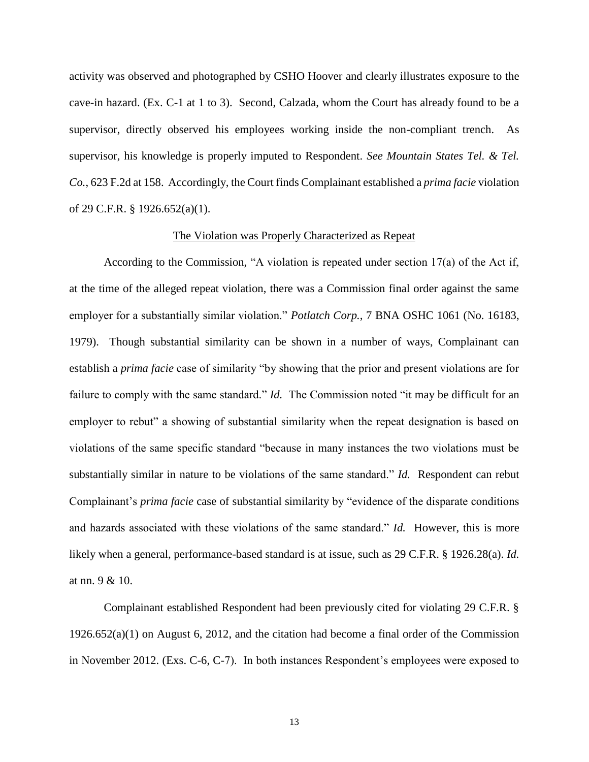activity was observed and photographed by CSHO Hoover and clearly illustrates exposure to the cave-in hazard. (Ex. C-1 at 1 to 3). Second, Calzada, whom the Court has already found to be a supervisor, directly observed his employees working inside the non-compliant trench. As supervisor, his knowledge is properly imputed to Respondent. *See Mountain States Tel. & Tel. Co.*, 623 F.2d at 158. Accordingly, the Court finds Complainant established a *prima facie* violation of 29 C.F.R. § 1926.652(a)(1).

#### The Violation was Properly Characterized as Repeat

According to the Commission, "A violation is repeated under section 17(a) of the Act if, at the time of the alleged repeat violation, there was a Commission final order against the same employer for a substantially similar violation." *Potlatch Corp.*, 7 BNA OSHC 1061 (No. 16183, 1979). Though substantial similarity can be shown in a number of ways, Complainant can establish a *prima facie* case of similarity "by showing that the prior and present violations are for failure to comply with the same standard." *Id.* The Commission noted "it may be difficult for an employer to rebut" a showing of substantial similarity when the repeat designation is based on violations of the same specific standard "because in many instances the two violations must be substantially similar in nature to be violations of the same standard." *Id.* Respondent can rebut Complainant's *prima facie* case of substantial similarity by "evidence of the disparate conditions and hazards associated with these violations of the same standard." *Id.* However, this is more likely when a general, performance-based standard is at issue, such as 29 C.F.R. § 1926.28(a). *Id.* at nn. 9 & 10.

Complainant established Respondent had been previously cited for violating 29 C.F.R. § 1926.652(a)(1) on August 6, 2012, and the citation had become a final order of the Commission in November 2012. (Exs. C-6, C-7). In both instances Respondent's employees were exposed to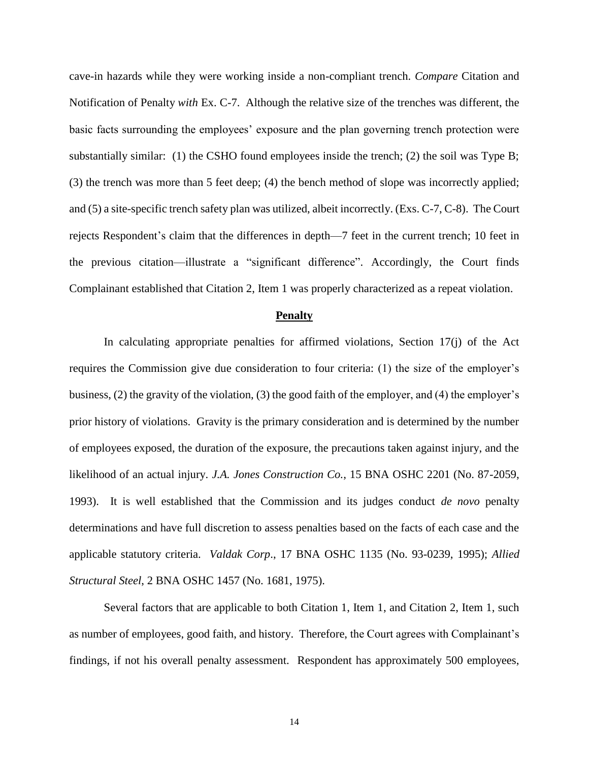cave-in hazards while they were working inside a non-compliant trench. *Compare* Citation and Notification of Penalty *with* Ex. C-7. Although the relative size of the trenches was different, the basic facts surrounding the employees' exposure and the plan governing trench protection were substantially similar: (1) the CSHO found employees inside the trench; (2) the soil was Type B; (3) the trench was more than 5 feet deep; (4) the bench method of slope was incorrectly applied; and (5) a site-specific trench safety plan was utilized, albeit incorrectly. (Exs. C-7, C-8). The Court rejects Respondent's claim that the differences in depth—7 feet in the current trench; 10 feet in the previous citation—illustrate a "significant difference". Accordingly, the Court finds Complainant established that Citation 2, Item 1 was properly characterized as a repeat violation.

### **Penalty**

In calculating appropriate penalties for affirmed violations, Section 17(j) of the Act requires the Commission give due consideration to four criteria: (1) the size of the employer's business, (2) the gravity of the violation, (3) the good faith of the employer, and (4) the employer's prior history of violations. Gravity is the primary consideration and is determined by the number of employees exposed, the duration of the exposure, the precautions taken against injury, and the likelihood of an actual injury. *J.A. Jones Construction Co.*, 15 BNA OSHC 2201 (No. 87-2059, 1993). It is well established that the Commission and its judges conduct *de novo* penalty determinations and have full discretion to assess penalties based on the facts of each case and the applicable statutory criteria. *Valdak Corp*., 17 BNA OSHC 1135 (No. 93-0239, 1995); *Allied Structural Steel*, 2 BNA OSHC 1457 (No. 1681, 1975).

Several factors that are applicable to both Citation 1, Item 1, and Citation 2, Item 1, such as number of employees, good faith, and history. Therefore, the Court agrees with Complainant's findings, if not his overall penalty assessment. Respondent has approximately 500 employees,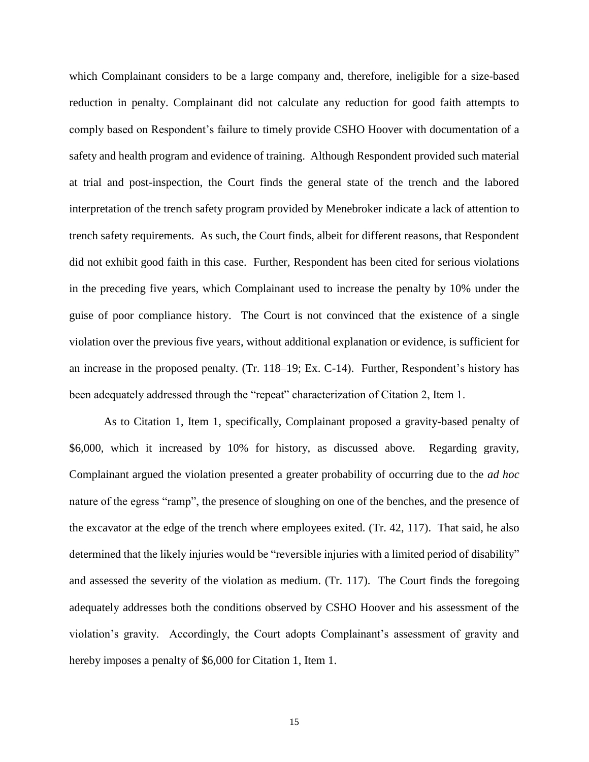which Complainant considers to be a large company and, therefore, ineligible for a size-based reduction in penalty. Complainant did not calculate any reduction for good faith attempts to comply based on Respondent's failure to timely provide CSHO Hoover with documentation of a safety and health program and evidence of training. Although Respondent provided such material at trial and post-inspection, the Court finds the general state of the trench and the labored interpretation of the trench safety program provided by Menebroker indicate a lack of attention to trench safety requirements. As such, the Court finds, albeit for different reasons, that Respondent did not exhibit good faith in this case. Further, Respondent has been cited for serious violations in the preceding five years, which Complainant used to increase the penalty by 10% under the guise of poor compliance history. The Court is not convinced that the existence of a single violation over the previous five years, without additional explanation or evidence, is sufficient for an increase in the proposed penalty. (Tr. 118–19; Ex. C-14). Further, Respondent's history has been adequately addressed through the "repeat" characterization of Citation 2, Item 1.

As to Citation 1, Item 1, specifically, Complainant proposed a gravity-based penalty of \$6,000, which it increased by 10% for history, as discussed above. Regarding gravity, Complainant argued the violation presented a greater probability of occurring due to the *ad hoc* nature of the egress "ramp", the presence of sloughing on one of the benches, and the presence of the excavator at the edge of the trench where employees exited. (Tr. 42, 117). That said, he also determined that the likely injuries would be "reversible injuries with a limited period of disability" and assessed the severity of the violation as medium. (Tr. 117). The Court finds the foregoing adequately addresses both the conditions observed by CSHO Hoover and his assessment of the violation's gravity. Accordingly, the Court adopts Complainant's assessment of gravity and hereby imposes a penalty of \$6,000 for Citation 1, Item 1.